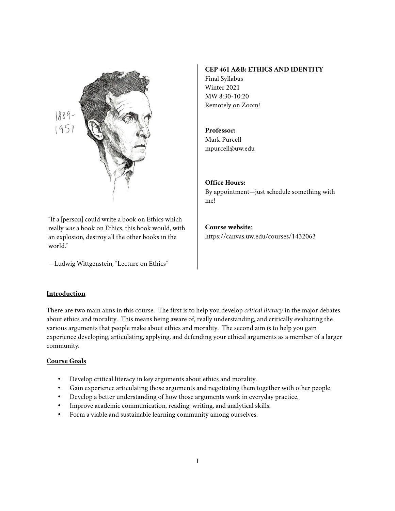

"If a [person] could write a book on Ethics which really *was* a book on Ethics, this book would, with an explosion, destroy all the other books in the world."

—Ludwig Wittgenstein, "Lecture on Ethics"

# **CEP 461 A&B: ETHICS AND IDENTITY**

Final Syllabus Winter 2021 MW 8:30-10:20 Remotely on Zoom!

# **Professor:** Mark Purcell mpurcell@uw.edu

**Office Hours:**  By appointment—just schedule something with me!

**Course website**: https://canvas.uw.edu/courses/1432063

#### **Introduction**

There are two main aims in this course. The first is to help you develop *critical literacy* in the major debates about ethics and morality. This means being aware of, really understanding, and critically evaluating the various arguments that people make about ethics and morality. The second aim is to help you gain experience developing, articulating, applying, and defending your ethical arguments as a member of a larger community.

#### **Course Goals**

- Develop critical literacy in key arguments about ethics and morality.
- Gain experience articulating those arguments and negotiating them together with other people.
- Develop a better understanding of how those arguments work in everyday practice.
- Improve academic communication, reading, writing, and analytical skills.
- Form a viable and sustainable learning community among ourselves.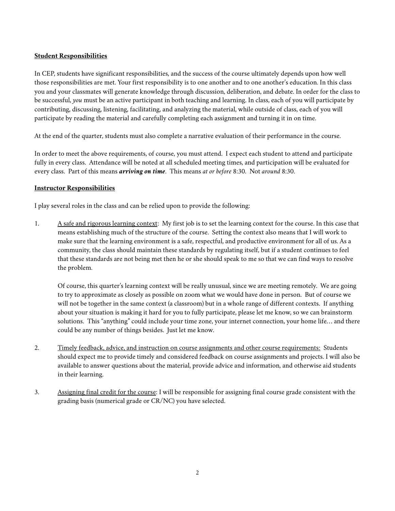# **Student Responsibilities**

In CEP, students have significant responsibilities, and the success of the course ultimately depends upon how well those responsibilities are met. Your first responsibility is to one another and to one another's education. In this class you and your classmates will generate knowledge through discussion, deliberation, and debate. In order for the class to be successful, *you* must be an active participant in both teaching and learning. In class, each of you will participate by contributing, discussing, listening, facilitating, and analyzing the material, while outside of class, each of you will participate by reading the material and carefully completing each assignment and turning it in on time.

At the end of the quarter, students must also complete a narrative evaluation of their performance in the course.

In order to meet the above requirements, of course, you must attend. I expect each student to attend and participate fully in every class. Attendance will be noted at all scheduled meeting times, and participation will be evaluated for every class. Part of this means *arriving on time*. This means *at or before* 8:30. Not *around* 8:30.

### **Instructor Responsibilities**

I play several roles in the class and can be relied upon to provide the following:

1. A safe and rigorous learning context: My first job is to set the learning context for the course. In this case that means establishing much of the structure of the course. Setting the context also means that I will work to make sure that the learning environment is a safe, respectful, and productive environment for all of us. As a community, the class should maintain these standards by regulating itself, but if a student continues to feel that these standards are not being met then he or she should speak to me so that we can find ways to resolve the problem.

Of course, this quarter's learning context will be really unusual, since we are meeting remotely. We are going to try to approximate as closely as possible on zoom what we would have done in person. But of course we will not be together in the same context (a classroom) but in a whole range of different contexts. If anything about your situation is making it hard for you to fully participate, please let me know, so we can brainstorm solutions. This "anything" could include your time zone, your internet connection, your home life… and there could be any number of things besides. Just let me know.

- 2. Timely feedback, advice, and instruction on course assignments and other course requirements: Students should expect me to provide timely and considered feedback on course assignments and projects. I will also be available to answer questions about the material, provide advice and information, and otherwise aid students in their learning.
- 3. Assigning final credit for the course: I will be responsible for assigning final course grade consistent with the grading basis (numerical grade or CR/NC) you have selected.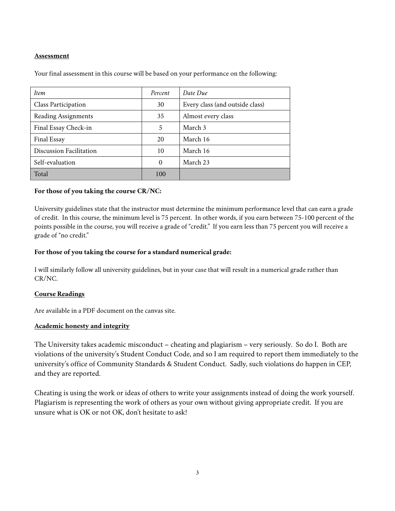### **Assessment**

Your final assessment in this course will be based on your performance on the following:

| <i>Item</i>                | Percent  | Date Due                        |
|----------------------------|----------|---------------------------------|
| <b>Class Participation</b> | 30       | Every class (and outside class) |
| <b>Reading Assignments</b> | 35       | Almost every class              |
| Final Essay Check-in       | 5        | March 3                         |
| <b>Final Essay</b>         | 20       | March 16                        |
| Discussion Facilitation    | 10       | March 16                        |
| Self-evaluation            | $\Omega$ | March 23                        |
| Total                      | 100      |                                 |

### **For those of you taking the course CR/NC:**

University guidelines state that the instructor must determine the minimum performance level that can earn a grade of credit. In this course, the minimum level is 75 percent. In other words, if you earn between 75-100 percent of the points possible in the course, you will receive a grade of "credit." If you earn less than 75 percent you will receive a grade of "no credit."

### **For those of you taking the course for a standard numerical grade:**

I will similarly follow all university guidelines, but in your case that will result in a numerical grade rather than CR/NC.

# **Course Readings**

Are available in a PDF document on the canvas site.

# **Academic honesty and integrity**

The University takes academic misconduct – cheating and plagiarism – very seriously. So do I. Both are violations of the university's Student Conduct Code, and so I am required to report them immediately to the university's office of Community Standards & Student Conduct. Sadly, such violations do happen in CEP, and they are reported.

Cheating is using the work or ideas of others to write your assignments instead of doing the work yourself. Plagiarism is representing the work of others as your own without giving appropriate credit. If you are unsure what is OK or not OK, don't hesitate to ask!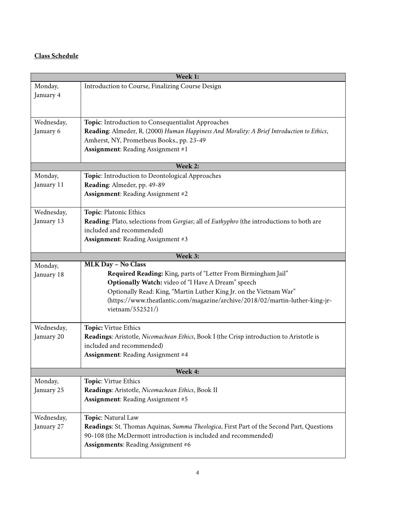# **Class Schedule**

|                      | Week 1:                                                                                                                                |  |
|----------------------|----------------------------------------------------------------------------------------------------------------------------------------|--|
| Monday,<br>January 4 | Introduction to Course, Finalizing Course Design                                                                                       |  |
| Wednesday,           | Topic: Introduction to Consequentialist Approaches                                                                                     |  |
| January 6            | Reading: Almeder, R. (2000) Human Happiness And Morality: A Brief Introduction to Ethics,<br>Amherst, NY, Prometheus Books., pp. 23-49 |  |
|                      | <b>Assignment:</b> Reading Assignment #1                                                                                               |  |
|                      | Week 2:                                                                                                                                |  |
| Monday,              | Topic: Introduction to Deontological Approaches                                                                                        |  |
| January 11           | Reading: Almeder, pp. 49-89                                                                                                            |  |
|                      | <b>Assignment:</b> Reading Assignment #2                                                                                               |  |
| Wednesday,           | Topic: Platonic Ethics                                                                                                                 |  |
| January 13           | Reading: Plato, selections from Gorgias; all of Euthyphro (the introductions to both are                                               |  |
|                      | included and recommended)                                                                                                              |  |
|                      | <b>Assignment:</b> Reading Assignment #3                                                                                               |  |
|                      | Week 3:                                                                                                                                |  |
| Monday,              | <b>MLK Day - No Class</b>                                                                                                              |  |
| January 18           | Required Reading: King, parts of "Letter From Birmingham Jail"                                                                         |  |
|                      | Optionally Watch: video of "I Have A Dream" speech                                                                                     |  |
|                      | Optionally Read: King, "Martin Luther King Jr. on the Vietnam War"                                                                     |  |
|                      | (https://www.theatlantic.com/magazine/archive/2018/02/martin-luther-king-jr-<br>vietnam/552521/)                                       |  |
| Wednesday,           | Topic: Virtue Ethics                                                                                                                   |  |
| January 20           | Readings: Aristotle, Nicomachean Ethics, Book I (the Crisp introduction to Aristotle is                                                |  |
|                      | included and recommended)                                                                                                              |  |
|                      | <b>Assignment:</b> Reading Assignment #4                                                                                               |  |
| Week 4:              |                                                                                                                                        |  |
| Monday,              | Topic: Virtue Ethics                                                                                                                   |  |
| January 25           | Readings: Aristotle, Nicomachean Ethics, Book II                                                                                       |  |
|                      | <b>Assignment:</b> Reading Assignment #5                                                                                               |  |
| Wednesday,           | Topic: Natural Law                                                                                                                     |  |
| January 27           | Readings: St. Thomas Aquinas, Summa Theologica, First Part of the Second Part, Questions                                               |  |
|                      | 90-108 (the McDermott introduction is included and recommended)                                                                        |  |
|                      | <b>Assignments: Reading Assignment #6</b>                                                                                              |  |
|                      |                                                                                                                                        |  |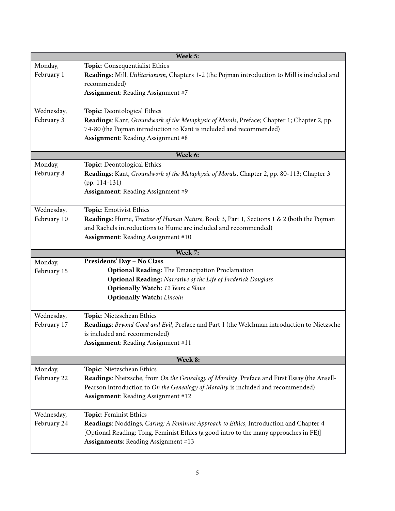| Week 5:     |                                                                                               |  |
|-------------|-----------------------------------------------------------------------------------------------|--|
| Monday,     | Topic: Consequentialist Ethics                                                                |  |
| February 1  | Readings: Mill, Utilitarianism, Chapters 1-2 (the Pojman introduction to Mill is included and |  |
|             | recommended)                                                                                  |  |
|             | <b>Assignment:</b> Reading Assignment #7                                                      |  |
|             |                                                                                               |  |
| Wednesday,  | Topic: Deontological Ethics                                                                   |  |
| February 3  | Readings: Kant, Groundwork of the Metaphysic of Morals, Preface; Chapter 1; Chapter 2, pp.    |  |
|             | 74-80 (the Pojman introduction to Kant is included and recommended)                           |  |
|             | <b>Assignment:</b> Reading Assignment #8                                                      |  |
|             |                                                                                               |  |
|             | Week 6:                                                                                       |  |
| Monday,     | Topic: Deontological Ethics                                                                   |  |
| February 8  | Readings: Kant, Groundwork of the Metaphysic of Morals, Chapter 2, pp. 80-113; Chapter 3      |  |
|             | (pp. $114-131$ )                                                                              |  |
|             | <b>Assignment:</b> Reading Assignment #9                                                      |  |
|             |                                                                                               |  |
| Wednesday,  | Topic: Emotivist Ethics                                                                       |  |
| February 10 | Readings: Hume, Treatise of Human Nature, Book 3, Part 1, Sections 1 & 2 (both the Pojman     |  |
|             | and Rachels introductions to Hume are included and recommended)                               |  |
|             | <b>Assignment:</b> Reading Assignment #10                                                     |  |
|             |                                                                                               |  |
|             | Week 7:                                                                                       |  |
| Monday,     | Presidents' Day - No Class                                                                    |  |
| February 15 | <b>Optional Reading:</b> The Emancipation Proclamation                                        |  |
|             | <b>Optional Reading:</b> Narrative of the Life of Frederick Douglass                          |  |
|             | <b>Optionally Watch: 12 Years a Slave</b>                                                     |  |
|             | <b>Optionally Watch:</b> Lincoln                                                              |  |
|             |                                                                                               |  |
| Wednesday,  | Topic: Nietzschean Ethics                                                                     |  |
| February 17 | Readings: Beyond Good and Evil, Preface and Part 1 (the Welchman introduction to Nietzsche    |  |
|             | is included and recommended)                                                                  |  |
|             | <b>Assignment:</b> Reading Assignment #11                                                     |  |
| Week 8:     |                                                                                               |  |
| Monday,     | Topic: Nietzschean Ethics                                                                     |  |
| February 22 |                                                                                               |  |
|             | Readings: Nietzsche, from On the Genealogy of Morality, Preface and First Essay (the Ansell-  |  |
|             | Pearson introduction to On the Genealogy of Morality is included and recommended)             |  |
|             | <b>Assignment:</b> Reading Assignment #12                                                     |  |
| Wednesday,  | Topic: Feminist Ethics                                                                        |  |
| February 24 |                                                                                               |  |
|             | Readings: Noddings, Caring: A Feminine Approach to Ethics, Introduction and Chapter 4         |  |
|             | [Optional Reading: Tong, Feminist Ethics (a good intro to the many approaches in FE)]         |  |
|             | <b>Assignments: Reading Assignment #13</b>                                                    |  |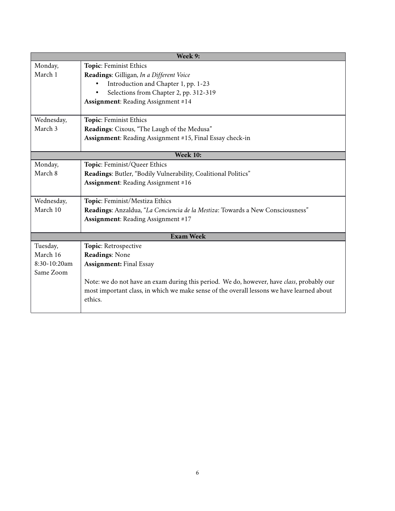| Week 9:          |                                                                                           |  |
|------------------|-------------------------------------------------------------------------------------------|--|
| Monday,          | Topic: Feminist Ethics                                                                    |  |
| March 1          | Readings: Gilligan, In a Different Voice                                                  |  |
|                  | Introduction and Chapter 1, pp. 1-23                                                      |  |
|                  | Selections from Chapter 2, pp. 312-319                                                    |  |
|                  | <b>Assignment:</b> Reading Assignment #14                                                 |  |
|                  |                                                                                           |  |
| Wednesday,       | Topic: Feminist Ethics                                                                    |  |
| March 3          | Readings: Cixous, "The Laugh of the Medusa"                                               |  |
|                  | Assignment: Reading Assignment #15, Final Essay check-in                                  |  |
|                  |                                                                                           |  |
| <b>Week 10:</b>  |                                                                                           |  |
| Monday,          | Topic: Feminist/Queer Ethics                                                              |  |
| March 8          | Readings: Butler, "Bodily Vulnerability, Coalitional Politics"                            |  |
|                  | <b>Assignment:</b> Reading Assignment #16                                                 |  |
|                  |                                                                                           |  |
| Wednesday,       | Topic: Feminist/Mestiza Ethics                                                            |  |
| March 10         | Readings: Anzaldua, "La Conciencia de la Mestiza: Towards a New Consciousness"            |  |
|                  | <b>Assignment:</b> Reading Assignment #17                                                 |  |
|                  |                                                                                           |  |
| <b>Exam Week</b> |                                                                                           |  |
| Tuesday,         | Topic: Retrospective                                                                      |  |
| March 16         | <b>Readings: None</b>                                                                     |  |
| 8:30-10:20am     | <b>Assignment: Final Essay</b>                                                            |  |
| Same Zoom        |                                                                                           |  |
|                  | Note: we do not have an exam during this period. We do, however, have class, probably our |  |
|                  | most important class, in which we make sense of the overall lessons we have learned about |  |
|                  | ethics.                                                                                   |  |
|                  |                                                                                           |  |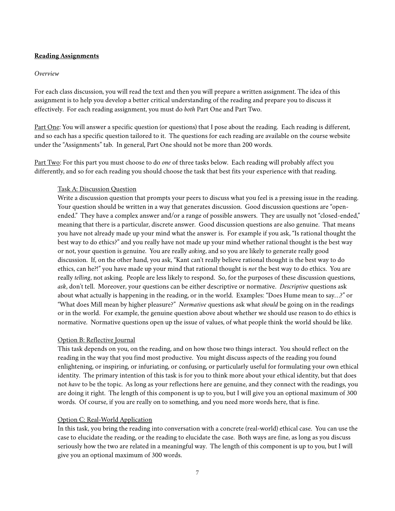#### **Reading Assignments**

#### *Overview*

For each class discussion, you will read the text and then you will prepare a written assignment. The idea of this assignment is to help you develop a better critical understanding of the reading and prepare you to discuss it effectively. For each reading assignment, you must do *both* Part One and Part Two.

Part One: You will answer a specific question (or questions) that I pose about the reading. Each reading is different, and so each has a specific question tailored to it. The questions for each reading are available on the course website under the "Assignments" tab. In general, Part One should not be more than 200 words.

Part Two: For this part you must choose to do *one* of three tasks below. Each reading will probably affect you differently, and so for each reading you should choose the task that best fits your experience with that reading.

#### Task A: Discussion Question

Write a discussion question that prompts your peers to discuss what you feel is a pressing issue in the reading. Your question should be written in a way that generates discussion. Good discussion questions are "openended." They have a complex answer and/or a range of possible answers. They are usually not "closed-ended," meaning that there is a particular, discrete answer. Good discussion questions are also genuine. That means you have not already made up your mind what the answer is. For example if you ask, "Is rational thought the best way to do ethics?" and you really have not made up your mind whether rational thought is the best way or not, your question is genuine. You are really *asking*, and so you are likely to generate really good discussion. If, on the other hand, you ask, "Kant can't really believe rational thought is the best way to do ethics, can he?!" you have made up your mind that rational thought is *not* the best way to do ethics. You are really *telling*, not asking. People are less likely to respond. So, for the purposes of these discussion questions, *ask*, don't tell. Moreover, your questions can be either descriptive or normative. *Descriptive* questions ask about what actually is happening in the reading, or in the world. Examples: "Does Hume mean to say…?" or "What does Mill mean by higher pleasure?" *Normative* questions ask what *should* be going on in the readings or in the world. For example, the genuine question above about whether we should use reason to do ethics is normative. Normative questions open up the issue of values, of what people think the world should be like.

#### Option B: Reflective Journal

This task depends on you, on the reading, and on how those two things interact. You should reflect on the reading in the way that you find most productive. You might discuss aspects of the reading you found enlightening, or inspiring, or infuriating, or confusing, or particularly useful for formulating your own ethical identity. The primary intention of this task is for you to think more about your ethical identity, but that does not *have* to be the topic. As long as your reflections here are genuine, and they connect with the readings, you are doing it right. The length of this component is up to you, but I will give you an optional maximum of 300 words. Of course, if you are really on to something, and you need more words here, that is fine.

#### Option C: Real-World Application

In this task, you bring the reading into conversation with a concrete (real-world) ethical case. You can use the case to elucidate the reading, or the reading to elucidate the case. Both ways are fine, as long as you discuss seriously how the two are related in a meaningful way. The length of this component is up to you, but I will give you an optional maximum of 300 words.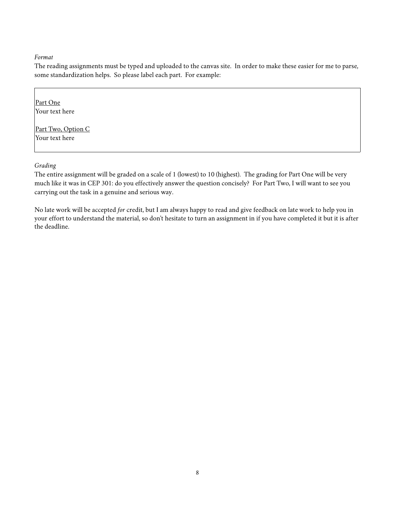*Format*

The reading assignments must be typed and uploaded to the canvas site. In order to make these easier for me to parse, some standardization helps. So please label each part. For example:

Part One Your text here

Part Two, Option C Your text here

*Grading*

The entire assignment will be graded on a scale of 1 (lowest) to 10 (highest). The grading for Part One will be very much like it was in CEP 301: do you effectively answer the question concisely? For Part Two, I will want to see you carrying out the task in a genuine and serious way.

No late work will be accepted *for* credit, but I am always happy to read and give feedback on late work to help you in your effort to understand the material, so don't hesitate to turn an assignment in if you have completed it but it is after the deadline.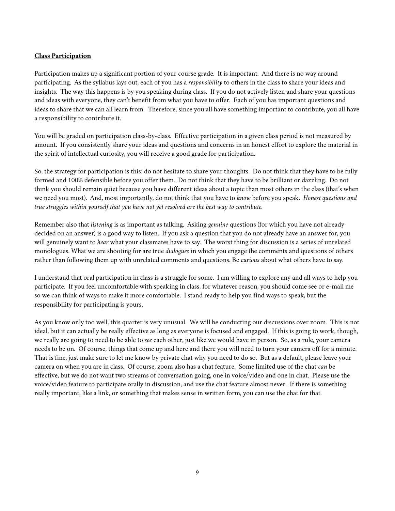### **Class Participation**

Participation makes up a significant portion of your course grade. It is important. And there is no way around participating. As the syllabus lays out, each of you has a *responsibility* to others in the class to share your ideas and insights. The way this happens is by you speaking during class. If you do not actively listen and share your questions and ideas with everyone, they can't benefit from what you have to offer. Each of you has important questions and ideas to share that we can all learn from. Therefore, since you all have something important to contribute, you all have a responsibility to contribute it.

You will be graded on participation class-by-class. Effective participation in a given class period is not measured by amount. If you consistently share your ideas and questions and concerns in an honest effort to explore the material in the spirit of intellectual curiosity, you will receive a good grade for participation.

So, the strategy for participation is this: do not hesitate to share your thoughts. Do not think that they have to be fully formed and 100% defensible before you offer them. Do not think that they have to be brilliant or dazzling. Do not think you should remain quiet because you have different ideas about a topic than most others in the class (that's when we need you most). And, most importantly, do not think that you have to *know* before you speak. *Honest questions and true struggles within yourself that you have not yet resolved are the best way to contribute.* 

Remember also that *listening* is as important as talking. Asking *genuine* questions (for which you have not already decided on an answer) is a good way to listen. If you ask a question that you do not already have an answer for, you will genuinely want to *hear* what your classmates have to say. The worst thing for discussion is a series of unrelated monologues. What we are shooting for are true *dialogues* in which you engage the comments and questions of others rather than following them up with unrelated comments and questions. Be *curious* about what others have to say.

I understand that oral participation in class is a struggle for some. I am willing to explore any and all ways to help you participate. If you feel uncomfortable with speaking in class, for whatever reason, you should come see or e-mail me so we can think of ways to make it more comfortable. I stand ready to help you find ways to speak, but the responsibility for participating is yours.

As you know only too well, this quarter is very unusual. We will be conducting our discussions over zoom. This is not ideal, but it can actually be really effective as long as everyone is focused and engaged. If this is going to work, though, we really are going to need to be able to *see* each other, just like we would have in person. So, as a rule, your camera needs to be on. Of course, things that come up and here and there you will need to turn your camera off for a minute. That is fine, just make sure to let me know by private chat why you need to do so. But as a default, please leave your camera on when you are in class. Of course, zoom also has a chat feature. Some limited use of the chat *can* be effective, but we do not want two streams of conversation going, one in voice/video and one in chat. Please use the voice/video feature to participate orally in discussion, and use the chat feature almost never. If there is something really important, like a link, or something that makes sense in written form, you can use the chat for that.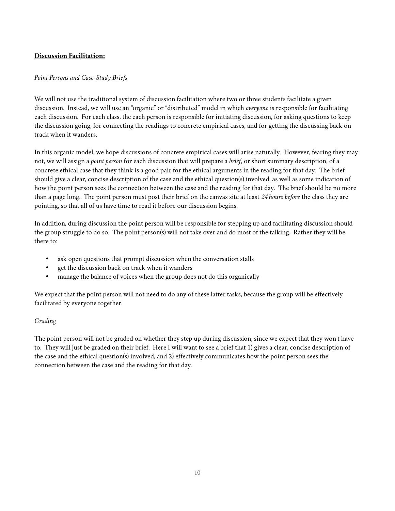# **Discussion Facilitation:**

### *Point Persons and Case-Study Briefs*

We will not use the traditional system of discussion facilitation where two or three students facilitate a given discussion. Instead, we will use an "organic" or "distributed" model in which *everyone* is responsible for facilitating each discussion. For each class, the each person is responsible for initiating discussion, for asking questions to keep the discussion going, for connecting the readings to concrete empirical cases, and for getting the discussing back on track when it wanders.

In this organic model, we hope discussions of concrete empirical cases will arise naturally. However, fearing they may not, we will assign a *point person* for each discussion that will prepare a *brief*, or short summary description, of a concrete ethical case that they think is a good pair for the ethical arguments in the reading for that day. The brief should give a clear, concise description of the case and the ethical question(s) involved, as well as some indication of how the point person sees the connection between the case and the reading for that day. The brief should be no more than a page long. The point person must post their brief on the canvas site at least *24 hours before* the class they are pointing, so that all of us have time to read it before our discussion begins.

In addition, during discussion the point person will be responsible for stepping up and facilitating discussion should the group struggle to do so. The point person(s) will not take over and do most of the talking. Rather they will be there to:

- ask open questions that prompt discussion when the conversation stalls
- get the discussion back on track when it wanders
- manage the balance of voices when the group does not do this organically

We expect that the point person will not need to do any of these latter tasks, because the group will be effectively facilitated by everyone together.

# *Grading*

The point person will not be graded on whether they step up during discussion, since we expect that they won't have to. They will just be graded on their brief. Here I will want to see a brief that 1) gives a clear, concise description of the case and the ethical question(s) involved, and 2) effectively communicates how the point person sees the connection between the case and the reading for that day.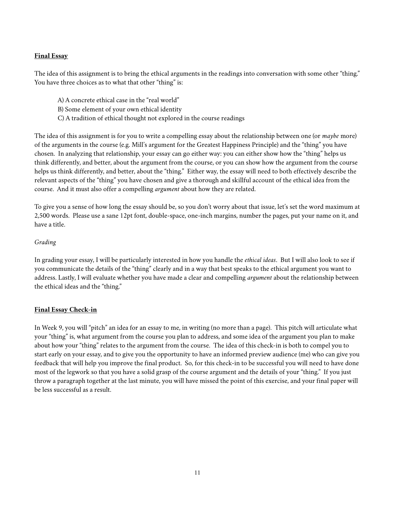# **Final Essay**

The idea of this assignment is to bring the ethical arguments in the readings into conversation with some other "thing." You have three choices as to what that other "thing" is:

- A) A concrete ethical case in the "real world"
- B) Some element of your own ethical identity
- C) A tradition of ethical thought not explored in the course readings

The idea of this assignment is for you to write a compelling essay about the relationship between one (or *maybe* more) of the arguments in the course (e.g. Mill's argument for the Greatest Happiness Principle) and the "thing" you have chosen. In analyzing that relationship, your essay can go either way: you can either show how the "thing" helps us think differently, and better, about the argument from the course, or you can show how the argument from the course helps us think differently, and better, about the "thing." Either way, the essay will need to both effectively describe the relevant aspects of the "thing" you have chosen and give a thorough and skillful account of the ethical idea from the course. And it must also offer a compelling *argument* about how they are related.

To give you a sense of how long the essay should be, so you don't worry about that issue, let's set the word maximum at 2,500 words. Please use a sane 12pt font, double-space, one-inch margins, number the pages, put your name on it, and have a title.

#### *Grading*

In grading your essay, I will be particularly interested in how you handle the *ethical ideas*. But I will also look to see if you communicate the details of the "thing" clearly and in a way that best speaks to the ethical argument you want to address. Lastly, I will evaluate whether you have made a clear and compelling *argument* about the relationship between the ethical ideas and the "thing."

#### **Final Essay Check-in**

In Week 9, you will "pitch" an idea for an essay to me, in writing (no more than a page). This pitch will articulate what your "thing" is, what argument from the course you plan to address, and some idea of the argument you plan to make about how your "thing" relates to the argument from the course. The idea of this check-in is both to compel you to start early on your essay, and to give you the opportunity to have an informed preview audience (me) who can give you feedback that will help you improve the final product. So, for this check-in to be successful you will need to have done most of the legwork so that you have a solid grasp of the course argument and the details of your "thing." If you just throw a paragraph together at the last minute, you will have missed the point of this exercise, and your final paper will be less successful as a result.